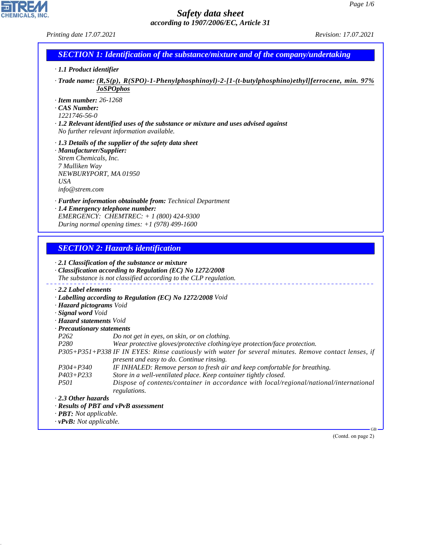| Printing date 17.07.2021                                                                                                     |                                                                                                                                                                                                                                                                                  | Revision: 17.07.2021 |
|------------------------------------------------------------------------------------------------------------------------------|----------------------------------------------------------------------------------------------------------------------------------------------------------------------------------------------------------------------------------------------------------------------------------|----------------------|
|                                                                                                                              | <b>SECTION 1: Identification of the substance/mixture and of the company/undertaking</b>                                                                                                                                                                                         |                      |
| $\cdot$ 1.1 Product identifier                                                                                               |                                                                                                                                                                                                                                                                                  |                      |
|                                                                                                                              | Trade name: (R,S(p), R(SPO)-1-Phenylphosphinoyl)-2-[1-(t-butylphosphino)ethyl]ferrocene, min. 97%<br><b>JoSPOphos</b>                                                                                                                                                            |                      |
| $\cdot$ Item number: 26-1268<br><b>CAS Number:</b><br>1221746-56-0                                                           | $\cdot$ 1.2 Relevant identified uses of the substance or mixture and uses advised against<br>No further relevant information available.                                                                                                                                          |                      |
| · Manufacturer/Supplier:<br>Strem Chemicals, Inc.<br>7 Mulliken Way<br>NEWBURYPORT, MA 01950<br><b>USA</b><br>info@strem.com | $\cdot$ 1.3 Details of the supplier of the safety data sheet                                                                                                                                                                                                                     |                      |
|                                                                                                                              | · Further information obtainable from: Technical Department<br>· 1.4 Emergency telephone number:<br>EMERGENCY: CHEMTREC: + 1 (800) 424-9300<br>During normal opening times: $+1$ (978) 499-1600                                                                                  |                      |
|                                                                                                                              |                                                                                                                                                                                                                                                                                  |                      |
|                                                                                                                              | <b>SECTION 2: Hazards identification</b>                                                                                                                                                                                                                                         |                      |
|                                                                                                                              | $\cdot$ 2.1 Classification of the substance or mixture<br>Classification according to Regulation (EC) No 1272/2008<br>The substance is not classified according to the CLP regulation.                                                                                           |                      |
| $\cdot$ 2.2 Label elements<br>· Hazard pictograms Void<br>· Signal word Void                                                 | · Labelling according to Regulation (EC) No 1272/2008 Void                                                                                                                                                                                                                       |                      |
| · Hazard statements Void                                                                                                     |                                                                                                                                                                                                                                                                                  |                      |
| · Precautionary statements                                                                                                   |                                                                                                                                                                                                                                                                                  |                      |
| P <sub>262</sub><br>P280                                                                                                     | Do not get in eyes, on skin, or on clothing.<br>Wear protective gloves/protective clothing/eye protection/face protection.<br>P305+P351+P338 IF IN EYES: Rinse cautiously with water for several minutes. Remove contact lenses, if<br>present and easy to do. Continue rinsing. |                      |
| $P304 + P340$                                                                                                                | IF INHALED: Remove person to fresh air and keep comfortable for breathing.                                                                                                                                                                                                       |                      |
| $P403 + P233$<br><i>P501</i>                                                                                                 | Store in a well-ventilated place. Keep container tightly closed.<br>Dispose of contents/container in accordance with local/regional/national/international<br>regulations.                                                                                                       |                      |
| $\cdot$ 2.3 Other hazards                                                                                                    |                                                                                                                                                                                                                                                                                  |                      |
|                                                                                                                              | · Results of PBT and vPvB assessment                                                                                                                                                                                                                                             |                      |
| $\cdot$ <b>PBT</b> : Not applicable.                                                                                         |                                                                                                                                                                                                                                                                                  |                      |
| $\cdot$ vPvB: Not applicable.                                                                                                |                                                                                                                                                                                                                                                                                  | $GB -$               |
|                                                                                                                              |                                                                                                                                                                                                                                                                                  | (Contd. on page 2)   |
|                                                                                                                              |                                                                                                                                                                                                                                                                                  |                      |
|                                                                                                                              |                                                                                                                                                                                                                                                                                  |                      |

44.1.1

CHEMICALS, INC.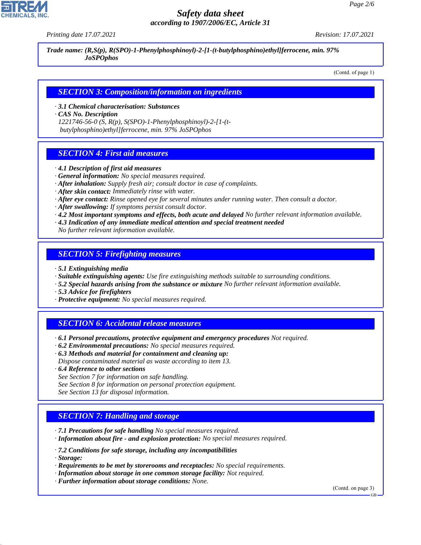*Printing date 17.07.2021 Revision: 17.07.2021*

*Trade name: (R,S(p), R(SPO)-1-Phenylphosphinoyl)-2-[1-(t-butylphosphino)ethyl]ferrocene, min. 97% JoSPOphos*

(Contd. of page 1)

#### *SECTION 3: Composition/information on ingredients*

*· 3.1 Chemical characterisation: Substances*

*· CAS No. Description*

*1221746-56-0 (S, R(p), S(SPO)-1-Phenylphosphinoyl)-2-[1-(t butylphosphino)ethyl]ferrocene, min. 97% JoSPOphos*

#### *SECTION 4: First aid measures*

- *· 4.1 Description of first aid measures*
- *· General information: No special measures required.*
- *· After inhalation: Supply fresh air; consult doctor in case of complaints.*
- *· After skin contact: Immediately rinse with water.*
- *· After eye contact: Rinse opened eye for several minutes under running water. Then consult a doctor.*
- *· After swallowing: If symptoms persist consult doctor.*
- *· 4.2 Most important symptoms and effects, both acute and delayed No further relevant information available.*
- *· 4.3 Indication of any immediate medical attention and special treatment needed*

*No further relevant information available.*

#### *SECTION 5: Firefighting measures*

- *· 5.1 Extinguishing media*
- *· Suitable extinguishing agents: Use fire extinguishing methods suitable to surrounding conditions.*
- *· 5.2 Special hazards arising from the substance or mixture No further relevant information available.*
- *· 5.3 Advice for firefighters*
- *· Protective equipment: No special measures required.*

# *SECTION 6: Accidental release measures*

- *· 6.1 Personal precautions, protective equipment and emergency procedures Not required.*
- *· 6.2 Environmental precautions: No special measures required.*
- *· 6.3 Methods and material for containment and cleaning up:*
- *Dispose contaminated material as waste according to item 13.*
- *· 6.4 Reference to other sections*
- *See Section 7 for information on safe handling.*
- *See Section 8 for information on personal protection equipment.*
- *See Section 13 for disposal information.*

## *SECTION 7: Handling and storage*

- *· 7.1 Precautions for safe handling No special measures required.*
- *· Information about fire and explosion protection: No special measures required.*
- *· 7.2 Conditions for safe storage, including any incompatibilities*
- *· Storage:*

44.1.1

- *· Requirements to be met by storerooms and receptacles: No special requirements.*
- *· Information about storage in one common storage facility: Not required.*
- *· Further information about storage conditions: None.*

(Contd. on page 3)



GB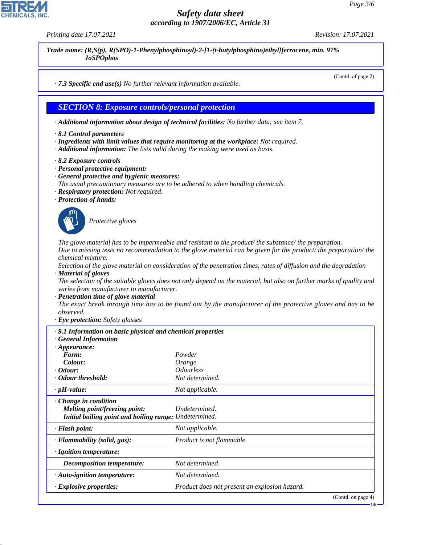*Printing date 17.07.2021 Revision: 17.07.2021*

*Trade name: (R,S(p), R(SPO)-1-Phenylphosphinoyl)-2-[1-(t-butylphosphino)ethyl]ferrocene, min. 97% JoSPOphos*

(Contd. of page 2)

*· 7.3 Specific end use(s) No further relevant information available.*

#### *SECTION 8: Exposure controls/personal protection*

*· Additional information about design of technical facilities: No further data; see item 7.*

- *· 8.1 Control parameters*
- *· Ingredients with limit values that require monitoring at the workplace: Not required.*
- *· Additional information: The lists valid during the making were used as basis.*
- *· 8.2 Exposure controls*
- *· Personal protective equipment:*
- *· General protective and hygienic measures:*
- *The usual precautionary measures are to be adhered to when handling chemicals.*
- *· Respiratory protection: Not required.*
- *· Protection of hands:*



\_S*Protective gloves*

*The glove material has to be impermeable and resistant to the product/ the substance/ the preparation. Due to missing tests no recommendation to the glove material can be given for the product/ the preparation/ the chemical mixture.*

*Selection of the glove material on consideration of the penetration times, rates of diffusion and the degradation · Material of gloves*

*The selection of the suitable gloves does not only depend on the material, but also on further marks of quality and varies from manufacturer to manufacturer.*

*· Penetration time of glove material*

*The exact break through time has to be found out by the manufacturer of the protective gloves and has to be observed.*

*· Eye protection: Safety glasses*

| $\cdot$ 9.1 Information on basic physical and chemical properties<br><b>General Information</b> |                                               |
|-------------------------------------------------------------------------------------------------|-----------------------------------------------|
| $\cdot$ Appearance:                                                                             |                                               |
| Form:                                                                                           | Powder                                        |
| Colour:                                                                                         | Orange                                        |
| $\cdot$ Odour:                                                                                  | <i><b>Odourless</b></i>                       |
| Odour threshold:                                                                                | Not determined.                               |
| $\cdot$ pH-value:                                                                               | Not applicable.                               |
| $\cdot$ Change in condition                                                                     |                                               |
| <i>Melting point/freezing point:</i>                                                            | Undetermined.                                 |
| Initial boiling point and boiling range: Undetermined.                                          |                                               |
| · Flash point:                                                                                  | Not applicable.                               |
| $\cdot$ Flammability (solid, gas):                                                              | Product is not flammable.                     |
| · Ignition temperature:                                                                         |                                               |
| <b>Decomposition temperature:</b>                                                               | Not determined.                               |
| · Auto-ignition temperature:                                                                    | Not determined.                               |
| · Explosive properties:                                                                         | Product does not present an explosion hazard. |
|                                                                                                 | $(C_{\text{out}}d_{\text{on space}}A)$        |



44.1.1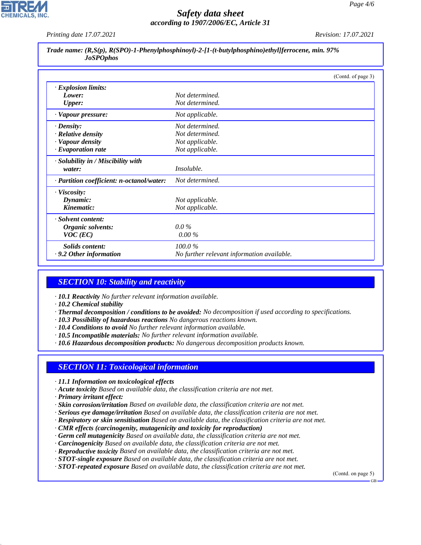*Printing date 17.07.2021 Revision: 17.07.2021*

|                  |  |  | Trade name: (R,S(p), R(SPO)-1-Phenylphosphinoyl)-2-[1-(t-butylphosphino)ethyl]ferrocene, min. 97% |  |
|------------------|--|--|---------------------------------------------------------------------------------------------------|--|
| <b>JoSPOphos</b> |  |  |                                                                                                   |  |

|                                           | (Contd. of page 3)                         |
|-------------------------------------------|--------------------------------------------|
| · Explosion limits:                       |                                            |
| Lower:                                    | Not determined.                            |
| <b>Upper:</b>                             | Not determined.                            |
| · Vapour pressure:                        | Not applicable.                            |
| $\cdot$ Density:                          | Not determined.                            |
| · Relative density                        | Not determined.                            |
| · Vapour density                          | Not applicable.                            |
| $\cdot$ Evaporation rate                  | Not applicable.                            |
| · Solubility in / Miscibility with        |                                            |
| water:                                    | <i>Insoluble.</i>                          |
| · Partition coefficient: n-octanol/water: | Not determined.                            |
| $\cdot$ Viscosity:                        |                                            |
| Dynamic:                                  | Not applicable.                            |
| Kinematic:                                | Not applicable.                            |
| · Solvent content:                        |                                            |
| Organic solvents:                         | $0.0\%$                                    |
| $VOC$ (EC)                                | $0.00\%$                                   |
| Solids content:                           | 100.0%                                     |
| $\cdot$ 9.2 Other information             | No further relevant information available. |

# *SECTION 10: Stability and reactivity*

- *· 10.1 Reactivity No further relevant information available.*
- *· 10.2 Chemical stability*
- *· Thermal decomposition / conditions to be avoided: No decomposition if used according to specifications.*
- *· 10.3 Possibility of hazardous reactions No dangerous reactions known.*
- *· 10.4 Conditions to avoid No further relevant information available.*
- *· 10.5 Incompatible materials: No further relevant information available.*
- *· 10.6 Hazardous decomposition products: No dangerous decomposition products known.*

## *SECTION 11: Toxicological information*

- *· 11.1 Information on toxicological effects*
- *· Acute toxicity Based on available data, the classification criteria are not met.*
- *· Primary irritant effect:*

44.1.1

- *· Skin corrosion/irritation Based on available data, the classification criteria are not met.*
- *· Serious eye damage/irritation Based on available data, the classification criteria are not met.*
- *· Respiratory or skin sensitisation Based on available data, the classification criteria are not met.*
- *· CMR effects (carcinogenity, mutagenicity and toxicity for reproduction)*
- *· Germ cell mutagenicity Based on available data, the classification criteria are not met.*
- *· Carcinogenicity Based on available data, the classification criteria are not met.*
- *· Reproductive toxicity Based on available data, the classification criteria are not met.*
- *· STOT-single exposure Based on available data, the classification criteria are not met.*
- *· STOT-repeated exposure Based on available data, the classification criteria are not met.*

(Contd. on page 5)

 $GR$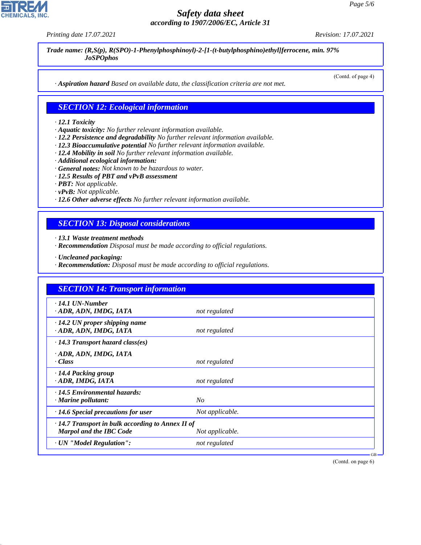*Printing date 17.07.2021 Revision: 17.07.2021*

**CHEMICALS** 

*Trade name: (R,S(p), R(SPO)-1-Phenylphosphinoyl)-2-[1-(t-butylphosphino)ethyl]ferrocene, min. 97% JoSPOphos*

(Contd. of page 4)

*· Aspiration hazard Based on available data, the classification criteria are not met.*

#### *SECTION 12: Ecological information*

#### *· 12.1 Toxicity*

- *· Aquatic toxicity: No further relevant information available.*
- *· 12.2 Persistence and degradability No further relevant information available.*
- *· 12.3 Bioaccumulative potential No further relevant information available.*
- *· 12.4 Mobility in soil No further relevant information available.*
- *· Additional ecological information:*
- *· General notes: Not known to be hazardous to water.*
- *· 12.5 Results of PBT and vPvB assessment*
- *· PBT: Not applicable.*
- *· vPvB: Not applicable.*
- *· 12.6 Other adverse effects No further relevant information available.*

## *SECTION 13: Disposal considerations*

- *· 13.1 Waste treatment methods*
- *· Recommendation Disposal must be made according to official regulations.*
- *· Uncleaned packaging:*

44.1.1

*· Recommendation: Disposal must be made according to official regulations.*

| <b>SECTION 14: Transport information</b>                                                  |                 |
|-------------------------------------------------------------------------------------------|-----------------|
| $\cdot$ 14.1 UN-Number<br>· ADR, ADN, IMDG, IATA                                          | not regulated   |
| $\cdot$ 14.2 UN proper shipping name<br>· ADR, ADN, IMDG, IATA                            | not regulated   |
| $\cdot$ 14.3 Transport hazard class(es)                                                   |                 |
| · ADR, ADN, IMDG, IATA<br>· Class                                                         | not regulated   |
| · 14.4 Packing group<br>· ADR, IMDG, IATA                                                 | not regulated   |
| $\cdot$ 14.5 Environmental hazards:<br>· Marine pollutant:                                | N <sub>O</sub>  |
| $\cdot$ 14.6 Special precautions for user                                                 | Not applicable. |
| $\cdot$ 14.7 Transport in bulk according to Annex II of<br><b>Marpol and the IBC Code</b> | Not applicable. |
| · UN "Model Regulation":                                                                  | not regulated   |

(Contd. on page 6)

GB